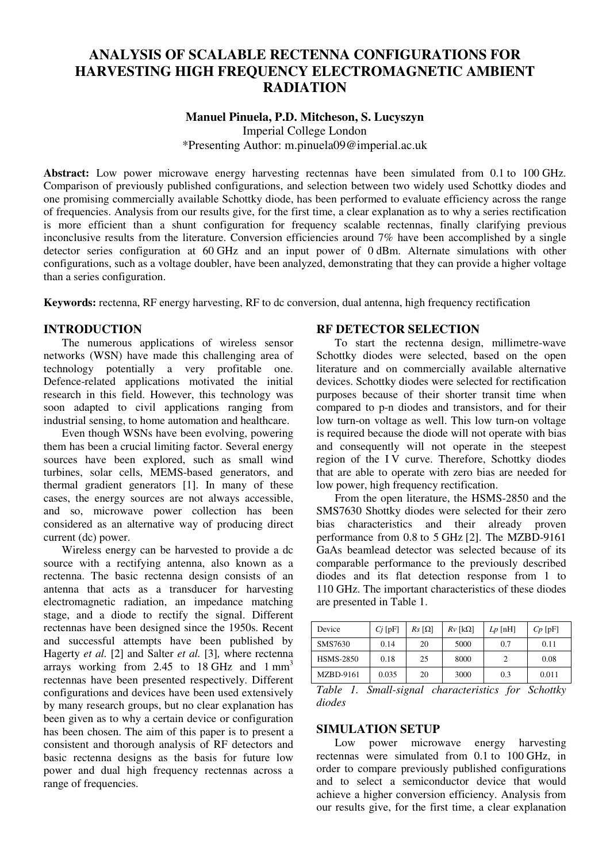# **ANALYSIS OF SCALABLE RECTENNA CONFIGURATIONS FOR HARVESTING HIGH FREQUENCY ELECTROMAGNETIC AMBIENT RADIATION**

#### **Manuel Pinuela, P.D. Mitcheson, S. Lucyszyn**

Imperial College London \*Presenting Author: m.pinuela09@imperial.ac.uk

**Abstract:** Low power microwave energy harvesting rectennas have been simulated from 0.1 to 100 GHz. Comparison of previously published configurations, and selection between two widely used Schottky diodes and one promising commercially available Schottky diode, has been performed to evaluate efficiency across the range of frequencies. Analysis from our results give, for the first time, a clear explanation as to why a series rectification is more efficient than a shunt configuration for frequency scalable rectennas, finally clarifying previous inconclusive results from the literature. Conversion efficiencies around 7% have been accomplished by a single detector series configuration at 60 GHz and an input power of 0 dBm. Alternate simulations with other configurations, such as a voltage doubler, have been analyzed, demonstrating that they can provide a higher voltage than a series configuration.

**Keywords:** rectenna, RF energy harvesting, RF to dc conversion, dual antenna, high frequency rectification

# **INTRODUCTION**

The numerous applications of wireless sensor networks (WSN) have made this challenging area of technology potentially a very profitable one. Defence-related applications motivated the initial research in this field. However, this technology was soon adapted to civil applications ranging from industrial sensing, to home automation and healthcare.

Even though WSNs have been evolving, powering them has been a crucial limiting factor. Several energy sources have been explored, such as small wind turbines, solar cells, MEMS-based generators, and thermal gradient generators [1]. In many of these cases, the energy sources are not always accessible, and so, microwave power collection has been considered as an alternative way of producing direct current (dc) power.

Wireless energy can be harvested to provide a dc source with a rectifying antenna, also known as a rectenna. The basic rectenna design consists of an antenna that acts as a transducer for harvesting electromagnetic radiation, an impedance matching stage, and a diode to rectify the signal. Different rectennas have been designed since the 1950s. Recent and successful attempts have been published by Hagerty *et al.* [2] and Salter *et al.* [3]*,* where rectenna arrays working from 2.45 to 18 GHz and 1 mm<sup>3</sup> rectennas have been presented respectively. Different configurations and devices have been used extensively by many research groups, but no clear explanation has been given as to why a certain device or configuration has been chosen. The aim of this paper is to present a consistent and thorough analysis of RF detectors and basic rectenna designs as the basis for future low power and dual high frequency rectennas across a range of frequencies.

#### **RF DETECTOR SELECTION**

To start the rectenna design, millimetre-wave Schottky diodes were selected, based on the open literature and on commercially available alternative devices. Schottky diodes were selected for rectification purposes because of their shorter transit time when compared to p-n diodes and transistors, and for their low turn-on voltage as well. This low turn-on voltage is required because the diode will not operate with bias and consequently will not operate in the steepest region of the I V curve. Therefore, Schottky diodes that are able to operate with zero bias are needed for low power, high frequency rectification.

From the open literature, the HSMS-2850 and the SMS7630 Shottky diodes were selected for their zero bias characteristics and their already proven performance from 0.8 to 5 GHz [2]. The MZBD-9161 GaAs beamlead detector was selected because of its comparable performance to the previously described diodes and its flat detection response from 1 to 110 GHz. The important characteristics of these diodes are presented in Table 1.

| Device           | $Cj$ [pF] | $Rs$ [ $\Omega$ ] | $Rv$ [kΩ] | $Lp$ [nH] | $Cp$ [pF] |
|------------------|-----------|-------------------|-----------|-----------|-----------|
| SMS7630          | 0.14      | 20                | 5000      | 0.7       | 0.11      |
| <b>HSMS-2850</b> | 0.18      | 25                | 8000      |           | 0.08      |
| <b>MZBD-9161</b> | 0.035     | 20                | 3000      | 0.3       | 0.011     |

*Table 1. Small-signal characteristics for Schottky diodes* 

# **SIMULATION SETUP**

Low power microwave energy harvesting rectennas were simulated from 0.1 to 100 GHz, in order to compare previously published configurations and to select a semiconductor device that would achieve a higher conversion efficiency. Analysis from our results give, for the first time, a clear explanation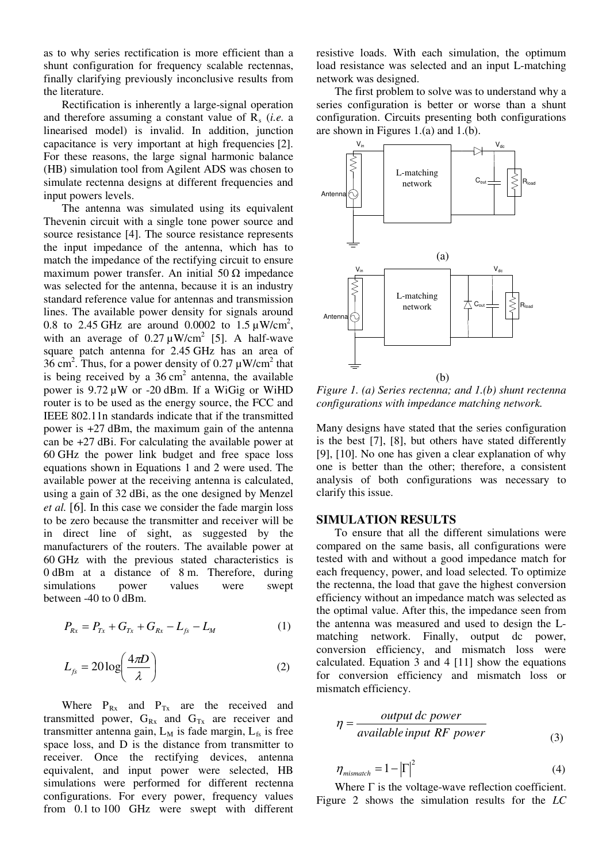as to why series rectification is more efficient than a shunt configuration for frequency scalable rectennas, finally clarifying previously inconclusive results from the literature.

Rectification is inherently a large-signal operation and therefore assuming a constant value of  $R_s$  (*i.e.* a linearised model) is invalid. In addition, junction capacitance is very important at high frequencies [2]. For these reasons, the large signal harmonic balance (HB) simulation tool from Agilent ADS was chosen to simulate rectenna designs at different frequencies and input powers levels.

The antenna was simulated using its equivalent Thevenin circuit with a single tone power source and source resistance [4]. The source resistance represents the input impedance of the antenna, which has to match the impedance of the rectifying circuit to ensure maximum power transfer. An initial  $50 \Omega$  impedance was selected for the antenna, because it is an industry standard reference value for antennas and transmission lines. The available power density for signals around 0.8 to 2.45 GHz are around 0.0002 to 1.5  $\mu$ W/cm<sup>2</sup>, with an average of  $0.27 \mu W/cm^2$  [5]. A half-wave square patch antenna for 2.45 GHz has an area of 36 cm<sup>2</sup>. Thus, for a power density of 0.27  $\mu$ W/cm<sup>2</sup> that is being received by a  $36 \text{ cm}^2$  antenna, the available power is  $9.72 \mu W$  or -20 dBm. If a WiGig or WiHD router is to be used as the energy source, the FCC and IEEE 802.11n standards indicate that if the transmitted power is +27 dBm, the maximum gain of the antenna can be +27 dBi. For calculating the available power at 60 GHz the power link budget and free space loss equations shown in Equations 1 and 2 were used. The available power at the receiving antenna is calculated, using a gain of 32 dBi, as the one designed by Menzel *et al.* [6]*.* In this case we consider the fade margin loss to be zero because the transmitter and receiver will be in direct line of sight, as suggested by the manufacturers of the routers. The available power at 60 GHz with the previous stated characteristics is 0 dBm at a distance of 8 m. Therefore, during simulations power values were swept between -40 to 0 dBm.

$$
P_{Rx} = P_{Tx} + G_{Tx} + G_{Rx} - L_{fs} - L_M \tag{1}
$$

$$
L_{fs} = 20 \log \left( \frac{4\pi D}{\lambda} \right) \tag{2}
$$

Where  $P_{Rx}$  and  $P_{Tx}$  are the received and transmitted power,  $G_{Rx}$  and  $G_{Tx}$  are receiver and transmitter antenna gain,  $L_M$  is fade margin,  $L_{fs}$  is free space loss, and D is the distance from transmitter to receiver. Once the rectifying devices, antenna equivalent, and input power were selected, HB simulations were performed for different rectenna configurations. For every power, frequency values from 0.1 to 100 GHz were swept with different

resistive loads. With each simulation, the optimum load resistance was selected and an input L-matching network was designed.

The first problem to solve was to understand why a series configuration is better or worse than a shunt configuration. Circuits presenting both configurations are shown in Figures 1.(a) and 1.(b).



*Figure 1. (a) Series rectenna; and 1.(b) shunt rectenna configurations with impedance matching network.* 

Many designs have stated that the series configuration is the best [7], [8], but others have stated differently [9], [10]. No one has given a clear explanation of why one is better than the other; therefore, a consistent analysis of both configurations was necessary to clarify this issue.

#### **SIMULATION RESULTS**

To ensure that all the different simulations were compared on the same basis, all configurations were tested with and without a good impedance match for each frequency, power, and load selected. To optimize the rectenna, the load that gave the highest conversion efficiency without an impedance match was selected as the optimal value. After this, the impedance seen from the antenna was measured and used to design the Lmatching network. Finally, output dc power, conversion efficiency, and mismatch loss were calculated. Equation 3 and 4 [11] show the equations for conversion efficiency and mismatch loss or mismatch efficiency.

$$
\eta = \frac{output \, dc \, power}{available \, input \, RF \, power}
$$
\n(3)

$$
\eta_{\text{mismatch}} = 1 - \left|\Gamma\right|^2 \tag{4}
$$

Where  $\Gamma$  is the voltage-wave reflection coefficient. Figure 2 shows the simulation results for the *LC*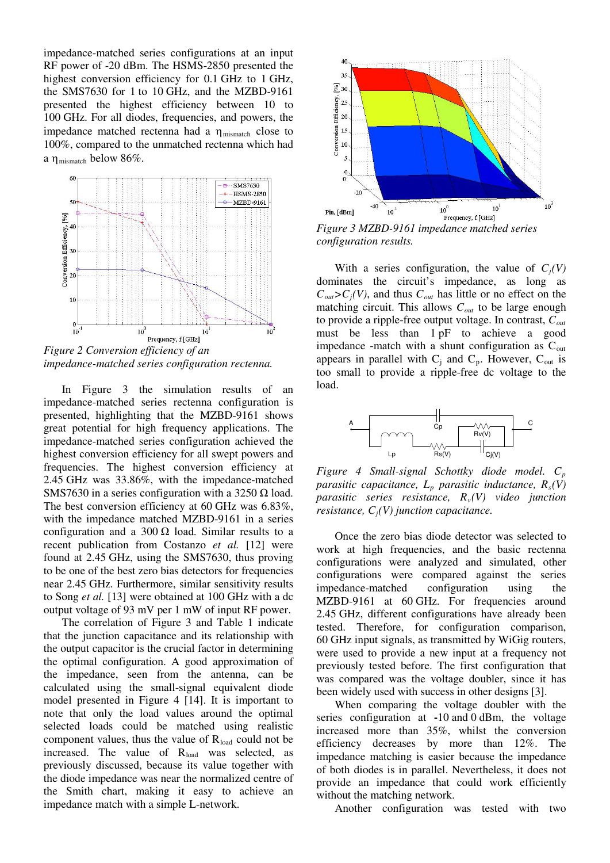impedance-matched series configurations at an input RF power of -20 dBm. The HSMS-2850 presented the highest conversion efficiency for 0.1 GHz to 1 GHz, the SMS7630 for 1 to 10 GHz, and the MZBD-9161 presented the highest efficiency between 10 to 100 GHz. For all diodes, frequencies, and powers, the impedance matched rectenna had a  $\eta_{\text{mismatch}}$  close to 100%, compared to the unmatched rectenna which had a  $\eta$ <sub>mismatch</sub> below 86%.



*impedance-matched series configuration rectenna.* 

In Figure 3 the simulation results of an impedance-matched series rectenna configuration is presented, highlighting that the MZBD-9161 shows great potential for high frequency applications. The impedance-matched series configuration achieved the highest conversion efficiency for all swept powers and frequencies. The highest conversion efficiency at 2.45 GHz was 33.86%, with the impedance-matched SMS7630 in a series configuration with a 3250  $\Omega$  load. The best conversion efficiency at 60 GHz was 6.83%, with the impedance matched MZBD-9161 in a series configuration and a 300  $\Omega$  load. Similar results to a recent publication from Costanzo *et al.* [12] were found at 2.45 GHz, using the SMS7630, thus proving to be one of the best zero bias detectors for frequencies near 2.45 GHz. Furthermore, similar sensitivity results to Song *et al.* [13] were obtained at 100 GHz with a dc output voltage of 93 mV per 1 mW of input RF power.

The correlation of Figure 3 and Table 1 indicate that the junction capacitance and its relationship with the output capacitor is the crucial factor in determining the optimal configuration. A good approximation of the impedance, seen from the antenna, can be calculated using the small-signal equivalent diode model presented in Figure 4 [14]. It is important to note that only the load values around the optimal selected loads could be matched using realistic component values, thus the value of  $R_{load}$  could not be increased. The value of R<sub>load</sub> was selected, as previously discussed, because its value together with the diode impedance was near the normalized centre of the Smith chart, making it easy to achieve an impedance match with a simple L-network.



*Figure 3 MZBD-9161 impedance matched series configuration results.* 

With a series configuration, the value of  $C_i(V)$ dominates the circuit's impedance, as long as  $C_{out} > C_j(V)$ , and thus  $C_{out}$  has little or no effect on the matching circuit. This allows *Cout* to be large enough to provide a ripple-free output voltage. In contrast, *Cout* must be less than 1 pF to achieve a good impedance -match with a shunt configuration as  $C<sub>out</sub>$ appears in parallel with  $C_j$  and  $C_p$ . However,  $C_{out}$  is too small to provide a ripple-free dc voltage to the load.



*Figure 4 Small-signal Schottky diode model. C<sup>p</sup> parasitic capacitance, Lp parasitic inductance, Rs(V) parasitic series resistance, Rv(V) video junction resistance, Cj(V) junction capacitance.* 

Once the zero bias diode detector was selected to work at high frequencies, and the basic rectenna configurations were analyzed and simulated, other configurations were compared against the series impedance-matched configuration using the MZBD-9161 at 60 GHz. For frequencies around 2.45 GHz, different configurations have already been tested. Therefore, for configuration comparison, 60 GHz input signals, as transmitted by WiGig routers, were used to provide a new input at a frequency not previously tested before. The first configuration that was compared was the voltage doubler, since it has been widely used with success in other designs [3].

When comparing the voltage doubler with the series configuration at **-**10 and 0 dBm, the voltage increased more than 35%, whilst the conversion efficiency decreases by more than 12%. The impedance matching is easier because the impedance of both diodes is in parallel. Nevertheless, it does not provide an impedance that could work efficiently without the matching network.

Another configuration was tested with two